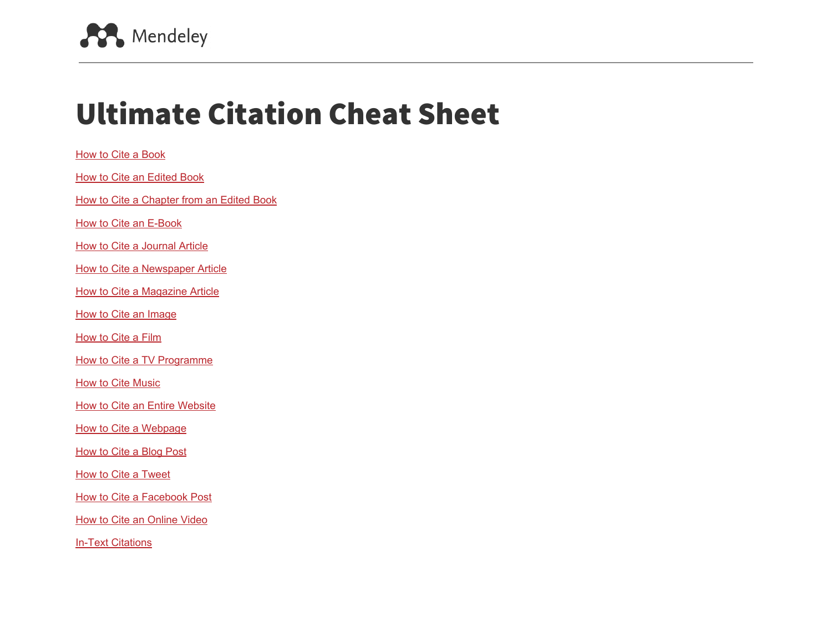

# Ultimate Citation Cheat Sheet

| How to Cite a Book                        |
|-------------------------------------------|
| <b>How to Cite an Edited Book</b>         |
| How to Cite a Chapter from an Edited Book |
| <b>How to Cite an E-Book</b>              |
| <b>How to Cite a Journal Article</b>      |
| <b>How to Cite a Newspaper Article</b>    |
| <b>How to Cite a Magazine Article</b>     |
| <b>How to Cite an Image</b>               |
| <b>How to Cite a Film</b>                 |
| How to Cite a TV Programme                |
| <b>How to Cite Music</b>                  |
| <b>How to Cite an Entire Website</b>      |
| How to Cite a Webpage                     |
| How to Cite a Blog Post                   |
| <b>How to Cite a Tweet</b>                |
| <b>How to Cite a Facebook Post</b>        |
| <b>How to Cite an Online Video</b>        |
| <b>In-Text Citations</b>                  |
|                                           |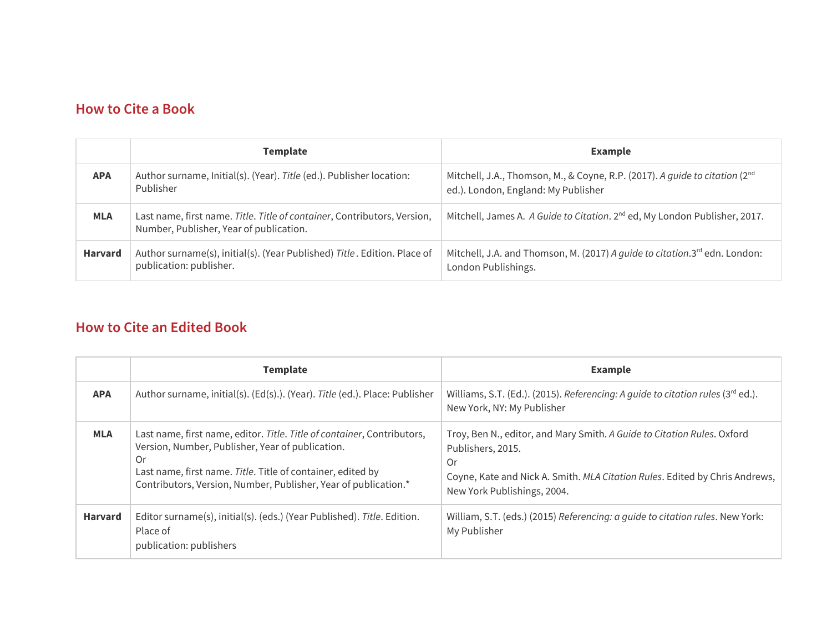#### <span id="page-1-0"></span>**How to Cite a Book**

|                | <b>Template</b>                                                                                                     | <b>Example</b>                                                                                                                 |
|----------------|---------------------------------------------------------------------------------------------------------------------|--------------------------------------------------------------------------------------------------------------------------------|
| <b>APA</b>     | Author surname, Initial(s). (Year). Title (ed.). Publisher location:<br>Publisher                                   | Mitchell, J.A., Thomson, M., & Coyne, R.P. (2017). A guide to citation (2 <sup>nd</sup><br>ed.). London, England: My Publisher |
| <b>MLA</b>     | Last name, first name. Title. Title of container, Contributors, Version,<br>Number, Publisher, Year of publication. | Mitchell, James A. A Guide to Citation. 2 <sup>nd</sup> ed, My London Publisher, 2017.                                         |
| <b>Harvard</b> | Author surname(s), initial(s). (Year Published) Title. Edition. Place of<br>publication: publisher.                 | Mitchell, J.A. and Thomson, M. (2017) A guide to citation.3 <sup>rd</sup> edn. London:<br>London Publishings.                  |

## <span id="page-1-1"></span>**How to Cite an Edited Book**

|                | <b>Template</b>                                                                                                                                                                                                                                                     | <b>Example</b>                                                                                                                                                                                                   |
|----------------|---------------------------------------------------------------------------------------------------------------------------------------------------------------------------------------------------------------------------------------------------------------------|------------------------------------------------------------------------------------------------------------------------------------------------------------------------------------------------------------------|
| <b>APA</b>     | Author surname, initial(s). (Ed(s).). (Year). Title (ed.). Place: Publisher                                                                                                                                                                                         | Williams, S.T. (Ed.). (2015). Referencing: A quide to citation rules (3rd ed.).<br>New York, NY: My Publisher                                                                                                    |
| <b>MLA</b>     | Last name, first name, editor. Title. Title of container, Contributors,<br>Version, Number, Publisher, Year of publication.<br>0r<br>Last name, first name. Title. Title of container, edited by<br>Contributors, Version, Number, Publisher, Year of publication.* | Troy, Ben N., editor, and Mary Smith. A Guide to Citation Rules. Oxford<br>Publishers, 2015.<br>Or<br>Coyne, Kate and Nick A. Smith. MLA Citation Rules. Edited by Chris Andrews,<br>New York Publishings, 2004. |
| <b>Harvard</b> | Editor surname(s), initial(s). (eds.) (Year Published). Title. Edition.<br>Place of<br>publication: publishers                                                                                                                                                      | William, S.T. (eds.) (2015) Referencing: a guide to citation rules. New York:<br>My Publisher                                                                                                                    |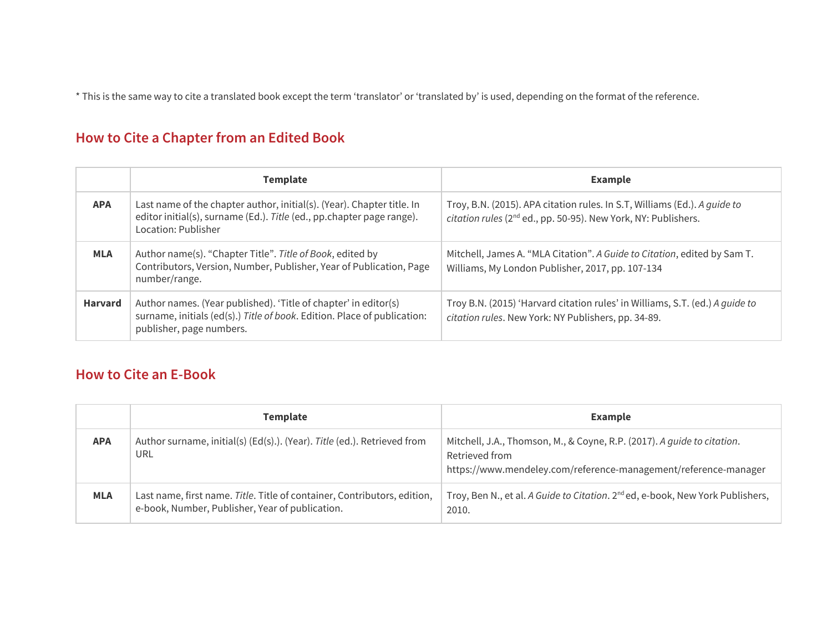\* This is the same way to cite a translated book except the term 'translator' or 'translated by' is used, depending on the format of the reference.

## <span id="page-2-1"></span>**How to Cite a Chapter from an Edited Book**

|                | <b>Template</b>                                                                                                                                                         | <b>Example</b>                                                                                                                                          |
|----------------|-------------------------------------------------------------------------------------------------------------------------------------------------------------------------|---------------------------------------------------------------------------------------------------------------------------------------------------------|
| <b>APA</b>     | Last name of the chapter author, initial(s). (Year). Chapter title. In<br>editor initial(s), surname (Ed.). Title (ed., pp.chapter page range).<br>Location: Publisher  | Troy, B.N. (2015). APA citation rules. In S.T, Williams (Ed.). A guide to<br>citation rules (2 <sup>nd</sup> ed., pp. 50-95). New York, NY: Publishers. |
| <b>MLA</b>     | Author name(s). "Chapter Title". Title of Book, edited by<br>Contributors, Version, Number, Publisher, Year of Publication, Page<br>number/range.                       | Mitchell, James A. "MLA Citation". A Guide to Citation, edited by Sam T.<br>Williams, My London Publisher, 2017, pp. 107-134                            |
| <b>Harvard</b> | Author names. (Year published). 'Title of chapter' in editor(s)<br>surname, initials (ed(s).) Title of book. Edition. Place of publication:<br>publisher, page numbers. | Troy B.N. (2015) 'Harvard citation rules' in Williams, S.T. (ed.) A quide to<br>citation rules. New York: NY Publishers, pp. 34-89.                     |

#### <span id="page-2-0"></span>**How to Cite an E-Book**

|            | <b>Template</b>                                                                                                             | <b>Example</b>                                                                                                                                               |
|------------|-----------------------------------------------------------------------------------------------------------------------------|--------------------------------------------------------------------------------------------------------------------------------------------------------------|
| <b>APA</b> | Author surname, initial(s) (Ed(s).). (Year). Title (ed.). Retrieved from<br><b>URL</b>                                      | Mitchell, J.A., Thomson, M., & Coyne, R.P. (2017). A guide to citation.<br>Retrieved from<br>https://www.mendeley.com/reference-management/reference-manager |
| <b>MLA</b> | Last name, first name. Title. Title of container, Contributors, edition,<br>e-book, Number, Publisher, Year of publication. | Troy, Ben N., et al. A Guide to Citation. 2 <sup>nd</sup> ed, e-book, New York Publishers,<br>2010.                                                          |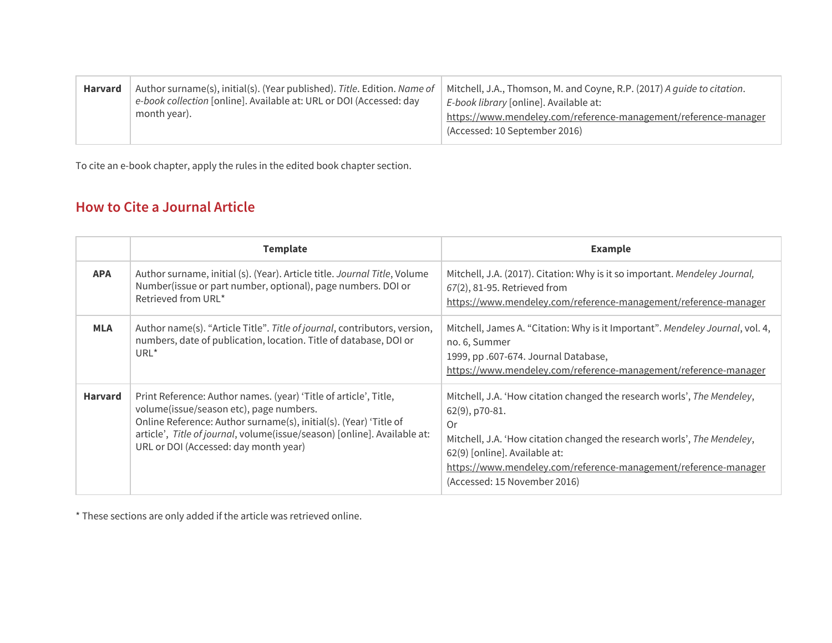| <b>Harvard</b> | Author surname(s), initial(s). (Year published). Title. Edition. Name of<br>e-book collection [online]. Available at: URL or DOI (Accessed: day<br>month year). | Mitchell, J.A., Thomson, M. and Coyne, R.P. (2017) A guide to citation.<br>E-book library [online]. Available at:<br>https://www.mendeley.com/reference-management/reference-manager<br>(Accessed: 10 September 2016) |
|----------------|-----------------------------------------------------------------------------------------------------------------------------------------------------------------|-----------------------------------------------------------------------------------------------------------------------------------------------------------------------------------------------------------------------|
|----------------|-----------------------------------------------------------------------------------------------------------------------------------------------------------------|-----------------------------------------------------------------------------------------------------------------------------------------------------------------------------------------------------------------------|

To cite an e-book chapter, apply the rules in the edited book chapter section.

#### <span id="page-3-0"></span>**How to Cite a Journal Article**

|                | <b>Template</b>                                                                                                                                                                                                                                                                                       | <b>Example</b>                                                                                                                                                                                                                                                                                                 |
|----------------|-------------------------------------------------------------------------------------------------------------------------------------------------------------------------------------------------------------------------------------------------------------------------------------------------------|----------------------------------------------------------------------------------------------------------------------------------------------------------------------------------------------------------------------------------------------------------------------------------------------------------------|
| <b>APA</b>     | Author surname, initial (s). (Year). Article title. Journal Title, Volume<br>Number(issue or part number, optional), page numbers. DOI or<br>Retrieved from URL*                                                                                                                                      | Mitchell, J.A. (2017). Citation: Why is it so important. Mendeley Journal,<br>67(2), 81-95. Retrieved from<br>https://www.mendeley.com/reference-management/reference-manager                                                                                                                                  |
| <b>MLA</b>     | Author name(s). "Article Title". Title of journal, contributors, version,<br>numbers, date of publication, location. Title of database, DOI or<br>URL <sup>*</sup>                                                                                                                                    | Mitchell, James A. "Citation: Why is it Important". Mendeley Journal, vol. 4,<br>no. 6, Summer<br>1999, pp .607-674. Journal Database,<br>https://www.mendeley.com/reference-management/reference-manager                                                                                                      |
| <b>Harvard</b> | Print Reference: Author names. (year) 'Title of article', Title,<br>volume(issue/season etc), page numbers.<br>Online Reference: Author surname(s), initial(s). (Year) 'Title of<br>article', Title of journal, volume(issue/season) [online]. Available at:<br>URL or DOI (Accessed: day month year) | Mitchell, J.A. 'How citation changed the research worls', The Mendeley,<br>62(9), p70-81.<br>0r<br>Mitchell, J.A. 'How citation changed the research worls', The Mendeley,<br>62(9) [online]. Available at:<br>https://www.mendeley.com/reference-management/reference-manager<br>(Accessed: 15 November 2016) |

\* These sections are only added if the article was retrieved online.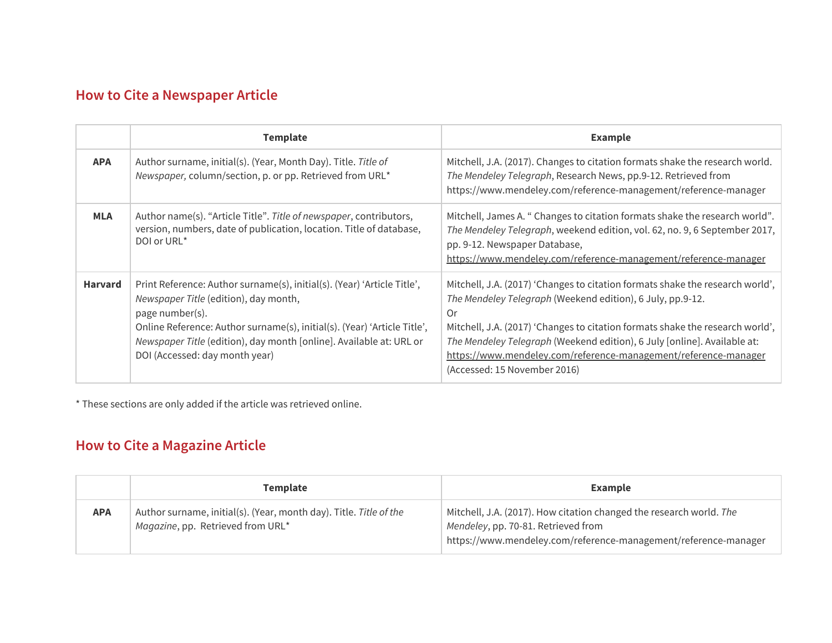# <span id="page-4-1"></span>**How to Cite a Newspaper Article**

|                | <b>Template</b>                                                                                                                                                                                                                                                                                                          | <b>Example</b>                                                                                                                                                                                                                                                                                                                                                                                                    |
|----------------|--------------------------------------------------------------------------------------------------------------------------------------------------------------------------------------------------------------------------------------------------------------------------------------------------------------------------|-------------------------------------------------------------------------------------------------------------------------------------------------------------------------------------------------------------------------------------------------------------------------------------------------------------------------------------------------------------------------------------------------------------------|
| <b>APA</b>     | Author surname, initial(s). (Year, Month Day). Title. Title of<br>Newspaper, column/section, p. or pp. Retrieved from URL*                                                                                                                                                                                               | Mitchell, J.A. (2017). Changes to citation formats shake the research world.<br>The Mendeley Telegraph, Research News, pp.9-12. Retrieved from<br>https://www.mendeley.com/reference-management/reference-manager                                                                                                                                                                                                 |
| <b>MLA</b>     | Author name(s). "Article Title". Title of newspaper, contributors,<br>version, numbers, date of publication, location. Title of database,<br>DOI or URL <sup>*</sup>                                                                                                                                                     | Mitchell, James A. " Changes to citation formats shake the research world".<br>The Mendeley Telegraph, weekend edition, vol. 62, no. 9, 6 September 2017,<br>pp. 9-12. Newspaper Database,<br>https://www.mendeley.com/reference-management/reference-manager                                                                                                                                                     |
| <b>Harvard</b> | Print Reference: Author surname(s), initial(s). (Year) 'Article Title',<br>Newspaper Title (edition), day month,<br>page number(s).<br>Online Reference: Author surname(s), initial(s). (Year) 'Article Title',<br>Newspaper Title (edition), day month [online]. Available at: URL or<br>DOI (Accessed: day month year) | Mitchell, J.A. (2017) 'Changes to citation formats shake the research world',<br>The Mendeley Telegraph (Weekend edition), 6 July, pp.9-12.<br>0r<br>Mitchell, J.A. (2017) 'Changes to citation formats shake the research world',<br>The Mendeley Telegraph (Weekend edition), 6 July [online]. Available at:<br>https://www.mendeley.com/reference-management/reference-manager<br>(Accessed: 15 November 2016) |

\* These sections are only added if the article was retrieved online.

# <span id="page-4-0"></span>**How to Cite a Magazine Article**

|            | <b>Template</b>                                                                                         | <b>Example</b>                                                                                                                                                                |
|------------|---------------------------------------------------------------------------------------------------------|-------------------------------------------------------------------------------------------------------------------------------------------------------------------------------|
| <b>APA</b> | Author surname, initial(s). (Year, month day). Title. Title of the<br>Magazine, pp. Retrieved from URL* | Mitchell, J.A. (2017). How citation changed the research world. The<br>Mendeley, pp. 70-81. Retrieved from<br>https://www.mendeley.com/reference-management/reference-manager |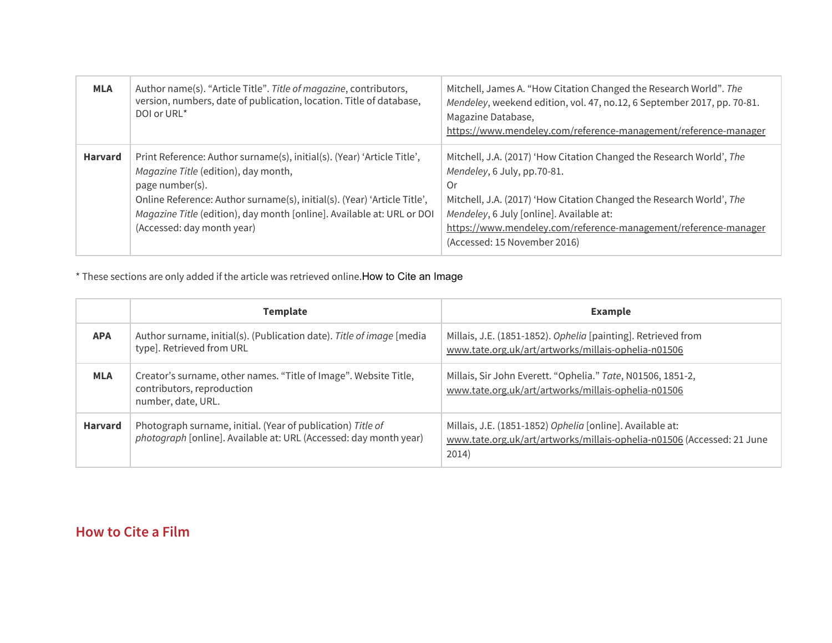| <b>MLA</b>     | Author name(s). "Article Title". Title of magazine, contributors,<br>version, numbers, date of publication, location. Title of database,<br>DOI or URL*                                                                                                                                                                | Mitchell, James A. "How Citation Changed the Research World". The<br>Mendeley, weekend edition, vol. 47, no.12, 6 September 2017, pp. 70-81.<br>Magazine Database,<br>https://www.mendeley.com/reference-management/reference-manager                                                                                            |
|----------------|------------------------------------------------------------------------------------------------------------------------------------------------------------------------------------------------------------------------------------------------------------------------------------------------------------------------|----------------------------------------------------------------------------------------------------------------------------------------------------------------------------------------------------------------------------------------------------------------------------------------------------------------------------------|
| <b>Harvard</b> | Print Reference: Author surname(s), initial(s). (Year) 'Article Title',<br>Magazine Title (edition), day month,<br>page number(s).<br>Online Reference: Author surname(s), initial(s). (Year) 'Article Title',<br>Magazine Title (edition), day month [online]. Available at: URL or DOI<br>(Accessed: day month year) | Mitchell, J.A. (2017) 'How Citation Changed the Research World', The<br>Mendeley, 6 July, pp.70-81.<br>0r<br>Mitchell, J.A. (2017) 'How Citation Changed the Research World', The<br>Mendeley, 6 July [online]. Available at:<br>https://www.mendeley.com/reference-management/reference-manager<br>(Accessed: 15 November 2016) |

\* These sections are only added if the article was retrieved online.How to Cite an Image

|                | <b>Template</b>                                                                                                                  | <b>Example</b>                                                                                                                               |
|----------------|----------------------------------------------------------------------------------------------------------------------------------|----------------------------------------------------------------------------------------------------------------------------------------------|
| <b>APA</b>     | Author surname, initial(s). (Publication date). Title of image [media<br>type]. Retrieved from URL                               | Millais, J.E. (1851-1852). Ophelia [painting]. Retrieved from<br>www.tate.org.uk/art/artworks/millais-ophelia-n01506                         |
| <b>MLA</b>     | Creator's surname, other names. "Title of Image". Website Title,<br>contributors, reproduction<br>number, date, URL.             | Millais, Sir John Everett. "Ophelia." Tate, N01506, 1851-2,<br>www.tate.org.uk/art/artworks/millais-ophelia-n01506                           |
| <b>Harvard</b> | Photograph surname, initial. (Year of publication) Title of<br>photograph [online]. Available at: URL (Accessed: day month year) | Millais, J.E. (1851-1852) Ophelia [online]. Available at:<br>www.tate.org.uk/art/artworks/millais-ophelia-n01506 (Accessed: 21 June<br>2014) |

## <span id="page-5-0"></span>**How to Cite a Film**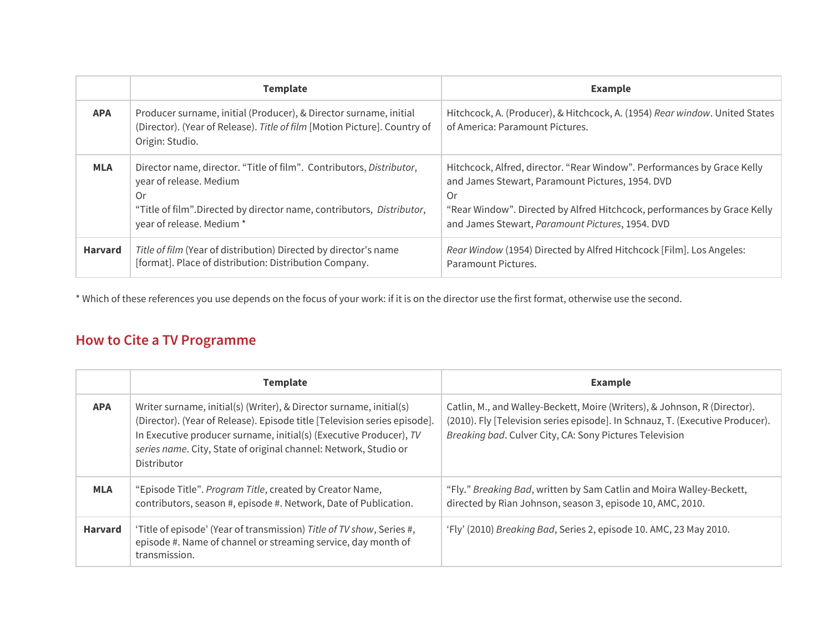|                | <b>Template</b>                                                                                                                                                                                              | <b>Example</b>                                                                                                                                                                                                                                                    |
|----------------|--------------------------------------------------------------------------------------------------------------------------------------------------------------------------------------------------------------|-------------------------------------------------------------------------------------------------------------------------------------------------------------------------------------------------------------------------------------------------------------------|
| <b>APA</b>     | Producer surname, initial (Producer), & Director surname, initial<br>(Director). (Year of Release). Title of film [Motion Picture]. Country of<br>Origin: Studio.                                            | Hitchcock, A. (Producer), & Hitchcock, A. (1954) Rear window. United States<br>of America: Paramount Pictures.                                                                                                                                                    |
| <b>MLA</b>     | Director name, director. "Title of film". Contributors, Distributor,<br>year of release. Medium<br>0r<br>"Title of film". Directed by director name, contributors, Distributor,<br>year of release. Medium * | Hitchcock, Alfred, director. "Rear Window". Performances by Grace Kelly<br>and James Stewart, Paramount Pictures, 1954. DVD<br>Or<br>"Rear Window". Directed by Alfred Hitchcock, performances by Grace Kelly<br>and James Stewart, Paramount Pictures, 1954. DVD |
| <b>Harvard</b> | Title of film (Year of distribution) Directed by director's name<br>[format]. Place of distribution: Distribution Company.                                                                                   | Rear Window (1954) Directed by Alfred Hitchcock [Film]. Los Angeles:<br>Paramount Pictures.                                                                                                                                                                       |

\* Which of these references you use depends on the focus of your work: if it is on the director use the first format, otherwise use the second.

# <span id="page-6-0"></span>**How to Cite a TV Programme**

|                | <b>Template</b>                                                                                                                                                                                                                                                                                           | <b>Example</b>                                                                                                                                                                                                        |  |  |
|----------------|-----------------------------------------------------------------------------------------------------------------------------------------------------------------------------------------------------------------------------------------------------------------------------------------------------------|-----------------------------------------------------------------------------------------------------------------------------------------------------------------------------------------------------------------------|--|--|
| <b>APA</b>     | Writer surname, initial(s) (Writer), & Director surname, initial(s)<br>(Director). (Year of Release). Episode title [Television series episode].<br>In Executive producer surname, initial(s) (Executive Producer), TV<br>series name. City, State of original channel: Network, Studio or<br>Distributor | Catlin, M., and Walley-Beckett, Moire (Writers), & Johnson, R (Director).<br>(2010). Fly [Television series episode]. In Schnauz, T. (Executive Producer).<br>Breaking bad. Culver City, CA: Sony Pictures Television |  |  |
| <b>MLA</b>     | "Episode Title". Program Title, created by Creator Name,<br>contributors, season #, episode #. Network, Date of Publication.                                                                                                                                                                              | "Fly." Breaking Bad, written by Sam Catlin and Moira Walley-Beckett,<br>directed by Rian Johnson, season 3, episode 10, AMC, 2010.                                                                                    |  |  |
| <b>Harvard</b> | 'Title of episode' (Year of transmission) Title of TV show, Series #,<br>episode #. Name of channel or streaming service, day month of<br>transmission.                                                                                                                                                   | 'Fly' (2010) Breaking Bad, Series 2, episode 10. AMC, 23 May 2010.                                                                                                                                                    |  |  |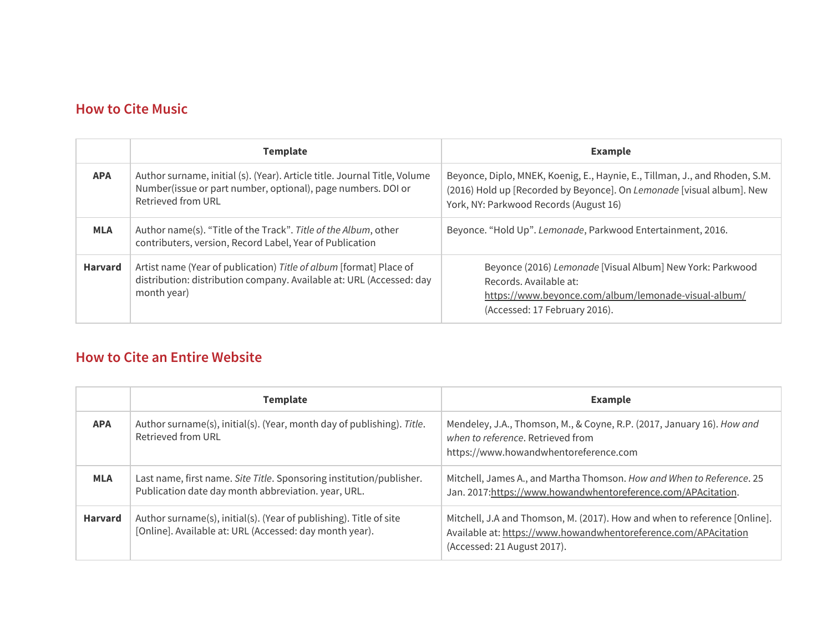#### <span id="page-7-1"></span>**How to Cite Music**

| <b>Template</b>                                                                                                                                                               |                                                                                                                                                           | <b>Example</b>                                                                                                                                                                                 |  |  |
|-------------------------------------------------------------------------------------------------------------------------------------------------------------------------------|-----------------------------------------------------------------------------------------------------------------------------------------------------------|------------------------------------------------------------------------------------------------------------------------------------------------------------------------------------------------|--|--|
| Author surname, initial (s). (Year). Article title. Journal Title, Volume<br><b>APA</b><br>Number(issue or part number, optional), page numbers. DOI or<br>Retrieved from URL |                                                                                                                                                           | Beyonce, Diplo, MNEK, Koenig, E., Haynie, E., Tillman, J., and Rhoden, S.M.<br>(2016) Hold up [Recorded by Beyonce]. On Lemonade [visual album]. New<br>York, NY: Parkwood Records (August 16) |  |  |
| <b>MLA</b>                                                                                                                                                                    | Author name(s). "Title of the Track". Title of the Album, other<br>contributers, version, Record Label, Year of Publication                               | Beyonce. "Hold Up". Lemonade, Parkwood Entertainment, 2016.                                                                                                                                    |  |  |
| <b>Harvard</b>                                                                                                                                                                | Artist name (Year of publication) Title of album [format] Place of<br>distribution: distribution company. Available at: URL (Accessed: day<br>month year) | Beyonce (2016) Lemonade [Visual Album] New York: Parkwood<br>Records, Available at:<br>https://www.beyonce.com/album/lemonade-visual-album/<br>(Accessed: 17 February 2016).                   |  |  |

# <span id="page-7-0"></span>**How to Cite an Entire Website**

|                | <b>Template</b>                                                                                                               | <b>Example</b>                                                                                                                                                              |  |  |
|----------------|-------------------------------------------------------------------------------------------------------------------------------|-----------------------------------------------------------------------------------------------------------------------------------------------------------------------------|--|--|
| <b>APA</b>     | Author surname(s), initial(s). (Year, month day of publishing). Title.<br>Retrieved from URL                                  | Mendeley, J.A., Thomson, M., & Coyne, R.P. (2017, January 16). How and<br>when to reference. Retrieved from<br>https://www.howandwhentoreference.com                        |  |  |
| <b>MLA</b>     | Last name, first name. Site Title. Sponsoring institution/publisher.<br>Publication date day month abbreviation. year, URL.   | Mitchell, James A., and Martha Thomson. How and When to Reference. 25<br>Jan. 2017:https://www.howandwhentoreference.com/APAcitation.                                       |  |  |
| <b>Harvard</b> | Author surname(s), initial(s). (Year of publishing). Title of site<br>[Online]. Available at: URL (Accessed: day month year). | Mitchell, J.A and Thomson, M. (2017). How and when to reference [Online].<br>Available at: https://www.howandwhentoreference.com/APAcitation<br>(Accessed: 21 August 2017). |  |  |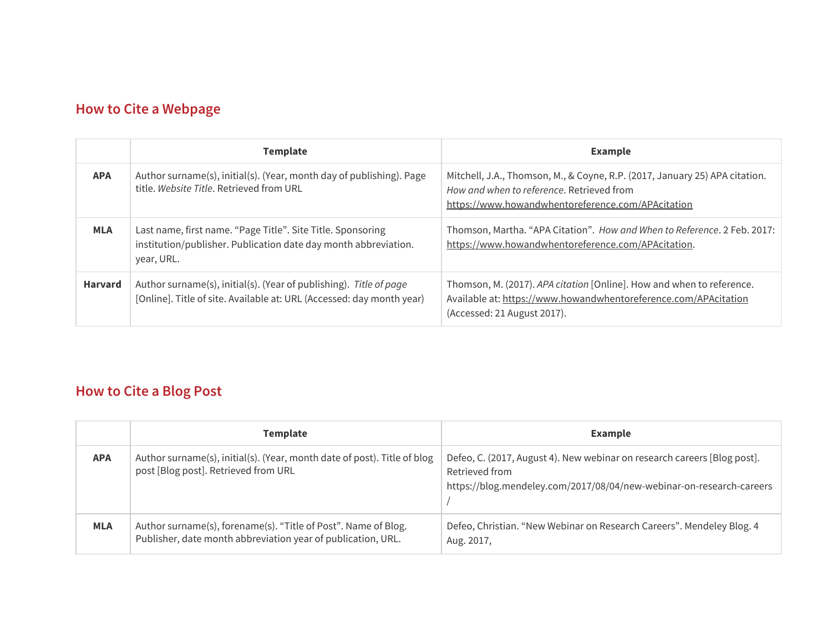# <span id="page-8-1"></span>**How to Cite a Webpage**

|                | <b>Template</b>                                                                                                                              | <b>Example</b>                                                                                                                                                                |  |  |
|----------------|----------------------------------------------------------------------------------------------------------------------------------------------|-------------------------------------------------------------------------------------------------------------------------------------------------------------------------------|--|--|
| <b>APA</b>     | Author surname(s), initial(s). (Year, month day of publishing). Page<br>title. Website Title. Retrieved from URL                             | Mitchell, J.A., Thomson, M., & Coyne, R.P. (2017, January 25) APA citation.<br>How and when to reference. Retrieved from<br>https://www.howandwhentoreference.com/APAcitation |  |  |
| <b>MLA</b>     | Last name, first name. "Page Title". Site Title. Sponsoring<br>institution/publisher. Publication date day month abbreviation.<br>year, URL. | Thomson, Martha. "APA Citation". How and When to Reference. 2 Feb. 2017:<br>https://www.howandwhentoreference.com/APAcitation.                                                |  |  |
| <b>Harvard</b> | Author surname(s), initial(s). (Year of publishing). Title of page<br>[Online]. Title of site. Available at: URL (Accessed: day month year)  | Thomson, M. (2017). APA citation [Online]. How and when to reference.<br>Available at: https://www.howandwhentoreference.com/APAcitation<br>(Accessed: 21 August 2017).       |  |  |

# <span id="page-8-0"></span>**How to Cite a Blog Post**

|            | Template                                                                                                                       | <b>Example</b>                                                                                                                                                     |  |
|------------|--------------------------------------------------------------------------------------------------------------------------------|--------------------------------------------------------------------------------------------------------------------------------------------------------------------|--|
| <b>APA</b> | Author surname(s), initial(s). (Year, month date of post). Title of blog<br>post [Blog post]. Retrieved from URL               | Defeo, C. (2017, August 4). New webinar on research careers [Blog post].<br>Retrieved from<br>https://blog.mendeley.com/2017/08/04/new-webinar-on-research-careers |  |
| <b>MLA</b> | Author surname(s), forename(s). "Title of Post". Name of Blog.<br>Publisher, date month abbreviation year of publication, URL. | Defeo, Christian. "New Webinar on Research Careers". Mendeley Blog. 4<br>Aug. 2017,                                                                                |  |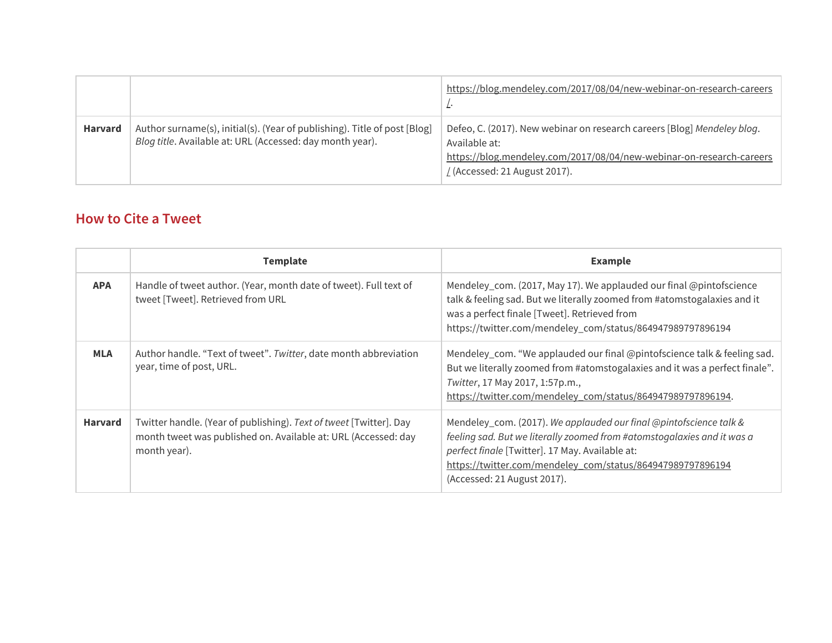|                |                                                                                                                                        | https://blog.mendeley.com/2017/08/04/new-webinar-on-research-careers                                                                                                                                     |
|----------------|----------------------------------------------------------------------------------------------------------------------------------------|----------------------------------------------------------------------------------------------------------------------------------------------------------------------------------------------------------|
| <b>Harvard</b> | Author surname(s), initial(s). (Year of publishing). Title of post [Blog]<br>Blog title. Available at: URL (Accessed: day month year). | Defeo, C. (2017). New webinar on research careers [Blog] Mendeley blog.<br>Available at:<br>https://blog.mendeley.com/2017/08/04/new-webinar-on-research-careers<br>$\angle$ (Accessed: 21 August 2017). |

## <span id="page-9-0"></span>**How to Cite a Tweet**

|                | <b>Template</b>                                                                                                                                      | <b>Example</b>                                                                                                                                                                                                                                                                                |
|----------------|------------------------------------------------------------------------------------------------------------------------------------------------------|-----------------------------------------------------------------------------------------------------------------------------------------------------------------------------------------------------------------------------------------------------------------------------------------------|
| <b>APA</b>     | Handle of tweet author. (Year, month date of tweet). Full text of<br>tweet [Tweet]. Retrieved from URL                                               | Mendeley_com. (2017, May 17). We applauded our final @pintofscience<br>talk & feeling sad. But we literally zoomed from #atomstogalaxies and it<br>was a perfect finale [Tweet]. Retrieved from<br>https://twitter.com/mendeley_com/status/864947989797896194                                 |
| <b>MLA</b>     | Author handle. "Text of tweet". Twitter, date month abbreviation<br>year, time of post, URL.                                                         | Mendeley_com. "We applauded our final @pintofscience talk & feeling sad.<br>But we literally zoomed from #atomstogalaxies and it was a perfect finale".<br>Twitter, 17 May 2017, 1:57p.m.,<br>https://twitter.com/mendeley_com/status/864947989797896194.                                     |
| <b>Harvard</b> | Twitter handle. (Year of publishing). Text of tweet [Twitter]. Day<br>month tweet was published on. Available at: URL (Accessed: day<br>month year). | Mendeley_com. (2017). We applauded our final @pintofscience talk &<br>feeling sad. But we literally zoomed from #atomstogalaxies and it was a<br>perfect finale [Twitter]. 17 May. Available at:<br>https://twitter.com/mendeley_com/status/864947989797896194<br>(Accessed: 21 August 2017). |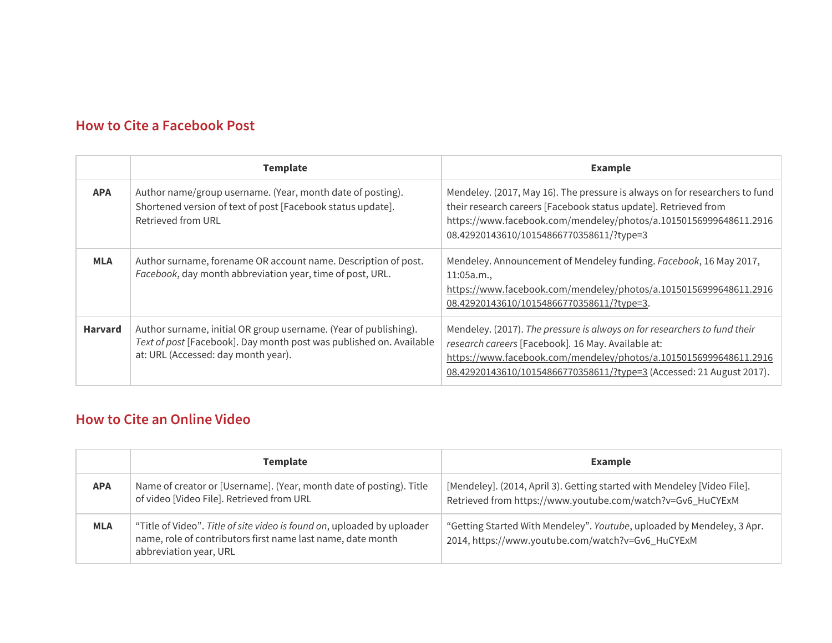## <span id="page-10-0"></span>**How to Cite a Facebook Post**

|                | <b>Template</b>                                                                                                                                                                | <b>Example</b>                                                                                                                                                                                                                                                               |  |
|----------------|--------------------------------------------------------------------------------------------------------------------------------------------------------------------------------|------------------------------------------------------------------------------------------------------------------------------------------------------------------------------------------------------------------------------------------------------------------------------|--|
| <b>APA</b>     | Author name/group username. (Year, month date of posting).<br>Shortened version of text of post [Facebook status update].<br>Retrieved from URL                                | Mendeley. (2017, May 16). The pressure is always on for researchers to fund<br>their research careers [Facebook status update]. Retrieved from<br>https://www.facebook.com/mendeley/photos/a.10150156999648611.2916<br>08.42920143610/10154866770358611/?type=3              |  |
| <b>MLA</b>     | Author surname, forename OR account name. Description of post.<br>Facebook, day month abbreviation year, time of post, URL.                                                    | Mendeley. Announcement of Mendeley funding. Facebook, 16 May 2017,<br>11:05a.m.<br>https://www.facebook.com/mendeley/photos/a.10150156999648611.2916<br>08.42920143610/10154866770358611/?type=3.                                                                            |  |
| <b>Harvard</b> | Author surname, initial OR group username. (Year of publishing).<br>Text of post [Facebook]. Day month post was published on. Available<br>at: URL (Accessed: day month year). | Mendeley. (2017). The pressure is always on for researchers to fund their<br>research careers [Facebook]. 16 May. Available at:<br>https://www.facebook.com/mendeley/photos/a.10150156999648611.2916<br>08.42920143610/10154866770358611/?type=3 (Accessed: 21 August 2017). |  |

#### <span id="page-10-1"></span>**How to Cite an Online Video**

|            | <b>Template</b>                                                                                                                                                  | <b>Example</b>                                                                                                                         |  |  |
|------------|------------------------------------------------------------------------------------------------------------------------------------------------------------------|----------------------------------------------------------------------------------------------------------------------------------------|--|--|
| <b>APA</b> | Name of creator or [Username]. (Year, month date of posting). Title<br>of video [Video File]. Retrieved from URL                                                 | [Mendeley]. (2014, April 3). Getting started with Mendeley [Video File].<br>Retrieved from https://www.youtube.com/watch?v=Gv6_HuCYExM |  |  |
| <b>MLA</b> | "Title of Video". Title of site video is found on, uploaded by uploader<br>name, role of contributors first name last name, date month<br>abbreviation year, URL | "Getting Started With Mendeley". Youtube, uploaded by Mendeley, 3 Apr.<br>2014, https://www.youtube.com/watch?v=Gv6_HuCYExM            |  |  |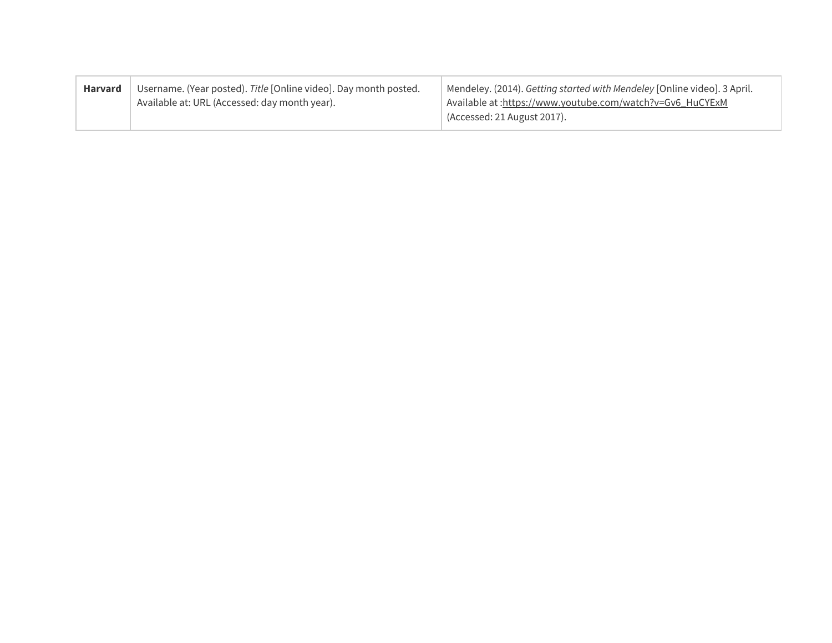| <b>Harvard</b> | Username. (Year posted). Title [Online video]. Day month posted.<br>Available at: URL (Accessed: day month year). | Mendeley. (2014). Getting started with Mendeley [Online video]. 3 April.<br>Available at : https://www.youtube.com/watch?v=Gv6_HuCYExM<br>(Accessed: 21 August 2017). |
|----------------|-------------------------------------------------------------------------------------------------------------------|-----------------------------------------------------------------------------------------------------------------------------------------------------------------------|
|----------------|-------------------------------------------------------------------------------------------------------------------|-----------------------------------------------------------------------------------------------------------------------------------------------------------------------|